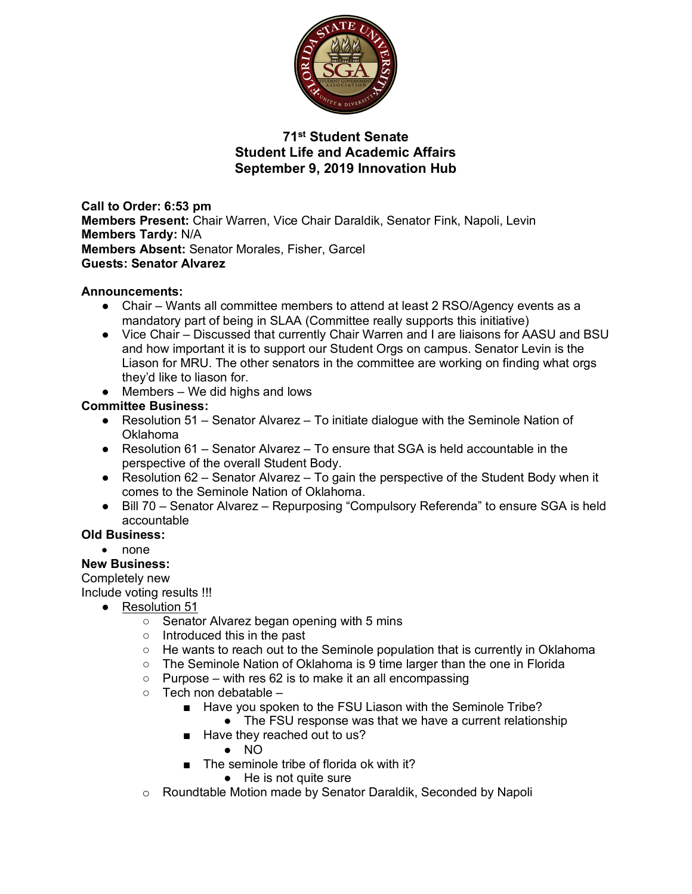

## **71st Student Senate Student Life and Academic Affairs September 9, 2019 Innovation Hub**

**Call to Order: 6:53 pm Members Present:** Chair Warren, Vice Chair Daraldik, Senator Fink, Napoli, Levin **Members Tardy:** N/A **Members Absent:** Senator Morales, Fisher, Garcel **Guests: Senator Alvarez**

## **Announcements:**

- Chair Wants all committee members to attend at least 2 RSO/Agency events as a mandatory part of being in SLAA (Committee really supports this initiative)
- Vice Chair Discussed that currently Chair Warren and I are liaisons for AASU and BSU and how important it is to support our Student Orgs on campus. Senator Levin is the Liason for MRU. The other senators in the committee are working on finding what orgs they'd like to liason for.
- $\bullet$  Members We did highs and lows

## **Committee Business:**

- Resolution 51 Senator Alvarez To initiate dialogue with the Seminole Nation of Oklahoma
- Resolution 61 Senator Alvarez To ensure that SGA is held accountable in the perspective of the overall Student Body.
- Resolution 62 Senator Alvarez To gain the perspective of the Student Body when it comes to the Seminole Nation of Oklahoma.
- Bill 70 Senator Alvarez Repurposing "Compulsory Referenda" to ensure SGA is held accountable

## **Old Business:**

• none

## **New Business:**

#### Completely new

Include voting results !!!

- Resolution 51
	- Senator Alvarez began opening with 5 mins
	- Introduced this in the past
	- $\circ$  He wants to reach out to the Seminole population that is currently in Oklahoma
	- The Seminole Nation of Oklahoma is 9 time larger than the one in Florida
	- $\circ$  Purpose with res 62 is to make it an all encompassing
	- $\circ$  Tech non debatable  $-$ 
		- Have you spoken to the FSU Liason with the Seminole Tribe?
			- The FSU response was that we have a current relationship
		- Have they reached out to us?
			- NO
		- The seminole tribe of florida ok with it?
			- He is not quite sure
	- o Roundtable Motion made by Senator Daraldik, Seconded by Napoli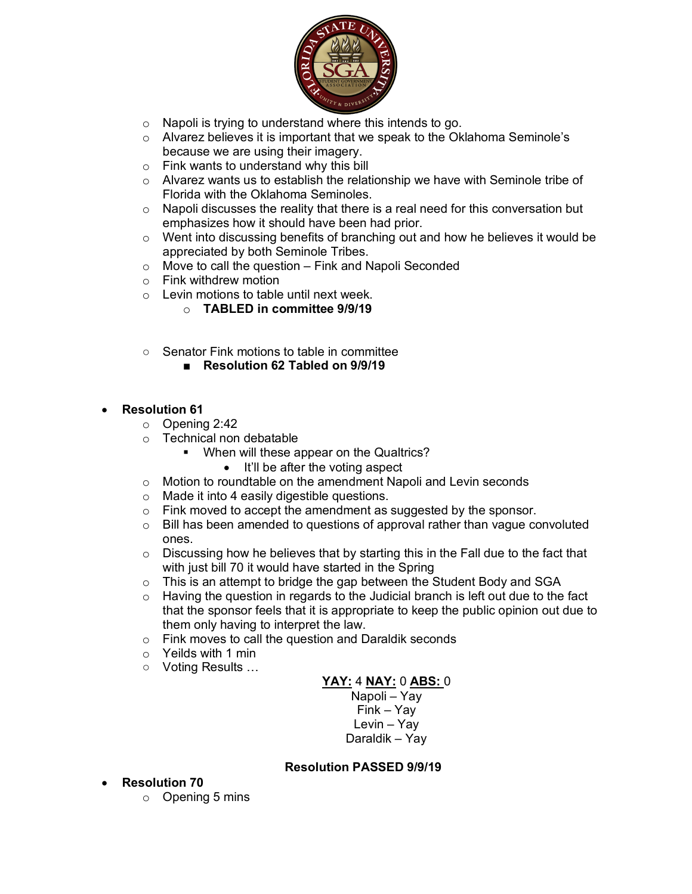

- o Napoli is trying to understand where this intends to go.
- $\circ$  Alvarez believes it is important that we speak to the Oklahoma Seminole's because we are using their imagery.
- o Fink wants to understand why this bill
- o Alvarez wants us to establish the relationship we have with Seminole tribe of Florida with the Oklahoma Seminoles.
- o Napoli discusses the reality that there is a real need for this conversation but emphasizes how it should have been had prior.
- $\circ$  Went into discussing benefits of branching out and how he believes it would be appreciated by both Seminole Tribes.
- $\circ$  Move to call the question Fink and Napoli Seconded
- o Fink withdrew motion
- $\circ$  Levin motions to table until next week.
	- o **TABLED in committee 9/9/19**
- Senator Fink motions to table in committee
	- **Resolution 62 Tabled on 9/9/19**
- **Resolution 61**
	- o Opening 2:42
	- o Technical non debatable
		- When will these appear on the Qualtrics?
			- It'll be after the voting aspect
	- o Motion to roundtable on the amendment Napoli and Levin seconds
	- o Made it into 4 easily digestible questions.
	- o Fink moved to accept the amendment as suggested by the sponsor.
	- $\circ$  Bill has been amended to questions of approval rather than vague convoluted ones.
	- $\circ$  Discussing how he believes that by starting this in the Fall due to the fact that with just bill 70 it would have started in the Spring
	- o This is an attempt to bridge the gap between the Student Body and SGA
	- $\circ$  Having the question in regards to the Judicial branch is left out due to the fact that the sponsor feels that it is appropriate to keep the public opinion out due to them only having to interpret the law.
	- o Fink moves to call the question and Daraldik seconds
	- o Yeilds with 1 min
	- Voting Results …

#### **YAY:** 4 **NAY:** 0 **ABS:** 0

Napoli – Yay Fink – Yay Levin – Yay Daraldik – Yay

#### **Resolution PASSED 9/9/19**

- **Resolution 70**
	- o Opening 5 mins